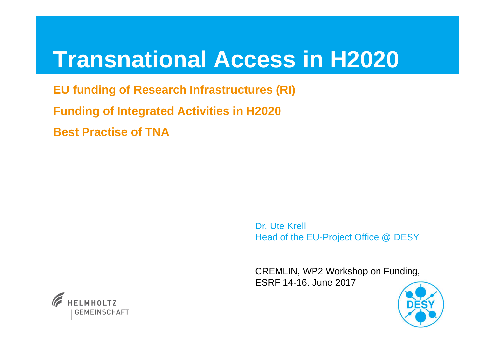# **Transnational Access in H2020**

**EU funding of Research Infrastructures (RI) Funding of Integrated Activities in H2020Best Practise of TNA**

> Dr. Ute KrellHead of the EU-Project Office @ DESY

> CREMLIN, WP2 Workshop on Funding, ESRF 14-16. June 2017



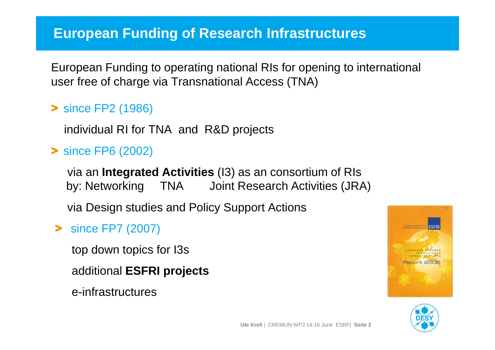### **European Funding of Research Infrastructures**

European Funding to operating national RIs for opening to international user free of charge via Transnational Access (TNA)

# > since FP2 (1986)

individual RI for TNA and R&D projects

# > since FP6 (2002)

via an **Integrated Activities** (I3) as an consortium of RIs by: Networking TNA Joint Research Activities (JRA)

via Design studies and Policy Support Actions

# > since FP7 (2007)

top down topics for I3s

additional **ESFRI projects**

e-infrastructures



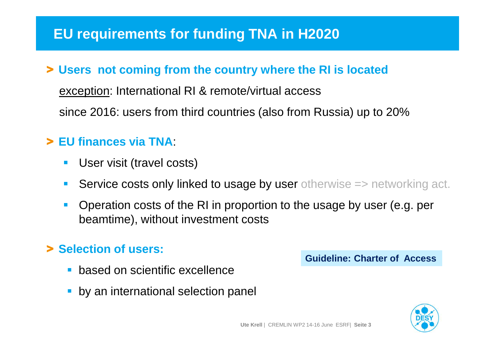### **EU requirements for funding TNA in H2020**

# > **Users not coming from the country where the RI is located**

exception: International RI & remote/virtual access

since 2016: users from third countries (also from Russia) up to 20%

# > **EU finances via TNA**:

- $\Box$ User visit (travel costs)
- Service costs only linked to usage by user otherwise => networking act.
- **Operation costs of the RI in proportion to the usage by user (e.g. per** beamtime), without investment costs

# > **Selection of users:**

- $\overline{\phantom{a}}$ based on scientific excellence
- $\overline{\phantom{a}}$ by an international selection panel

**Guideline: Charter of Access**

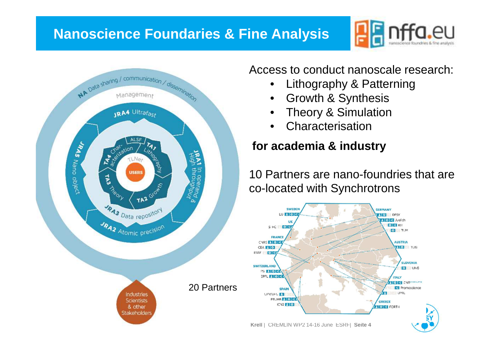### **Nanoscience Foundaries & Fine Analysis**





Access to conduct nanoscale research:

- •Lithography & Patterning
- $\bullet$ Growth & Synthesis
- Theory & Simulation•
- •Characterisation

#### **for academia & industry**

10 Partners are nano-foundries that are co-located with Synchrotrons

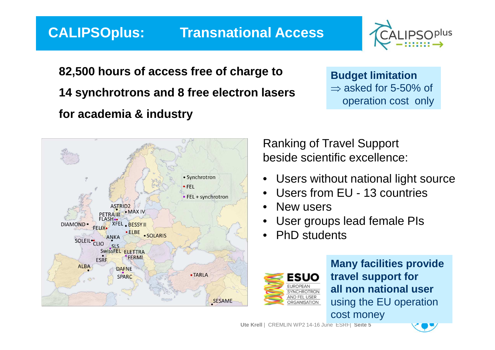#### **CALIPSOplus: Transnational Access**



**82,500 hours of access free of charge to14 synchrotrons and 8 free electron lasersfor academia & industry**

**Budget limitation** $\Rightarrow$  asked for 5-50% of<br>operation cost, only operation cost only



Ranking of Travel Support beside scientific excellence:

- •Users without national light source
- •Users from EU - 13 countries
- •New users
- User groups lead female PIs•
- •PhD students



**Many facilities providetravel support for all non national user**using the EU operationcost money

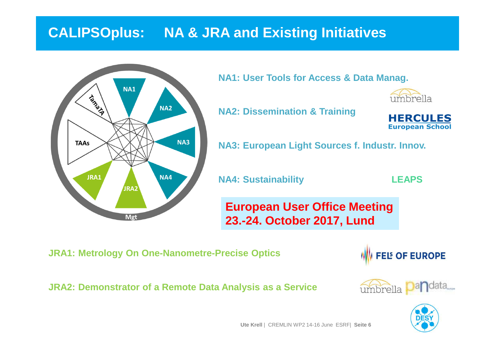# **CALIPSOplus: NA & JRA and Existing Initiatives**



**NA1: User Tools for Access & Data Manag.**



**NA2: Dissemination & Training**



**NA3: European Light Sources f. Industr. Innov.**

**NA4: Sustainability**

**LEAPS**

**European User Office Meeting23.-24. October 2017, Lund**

**JRA1: Metrology On One-Nanometre-Precise Optics**



**JRA2: Demonstrator of <sup>a</sup> Remote Data Analysis as <sup>a</sup> Service**



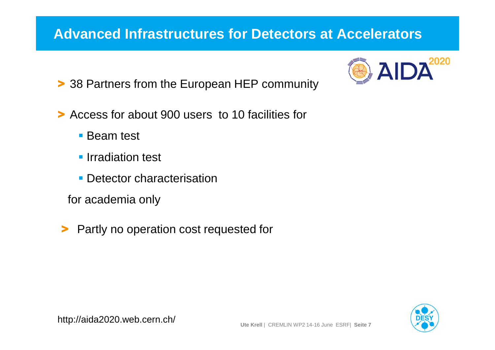### **Advanced Infrastructures for Detectors at Accelerators**

2020  $\boldsymbol{\Delta}$ 

- > 38 Partners from the European HEP community
- > Access for about 900 users to 10 facilities for
	- **Beam test**
	- **Irradiation test**
	- **Detector characterisation**
	- for academia only
- >Partly no operation cost requested for

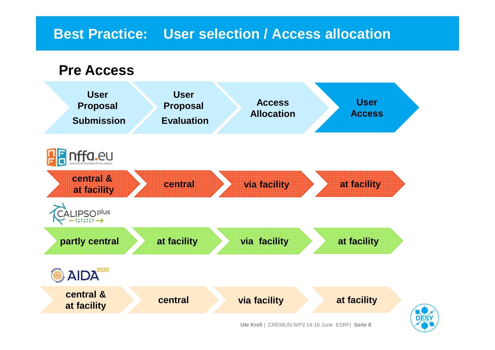### **Best Practice: User selection / Access allocation**

#### **Pre Access**

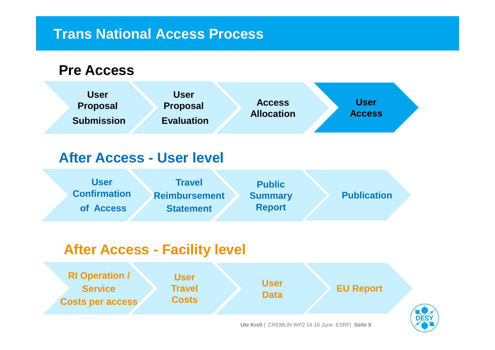#### **Trans National Access Process**

#### **Pre Access**



### **After Access - User level**

| <b>User</b><br><b>Confirmation</b> | <b>Travel</b>                            | <b>Public</b>                   | <b>Publication</b> |
|------------------------------------|------------------------------------------|---------------------------------|--------------------|
| of Access                          | <b>Reimbursement</b><br><b>Statement</b> | <b>Summary</b><br><b>Report</b> |                    |

### **After Access - Facility level**

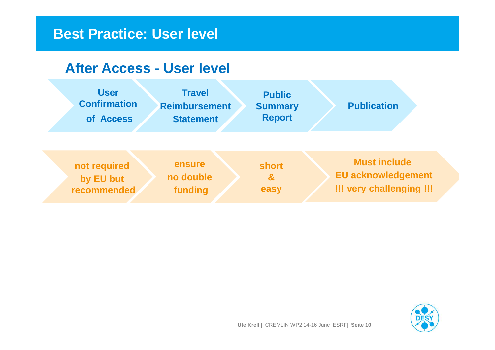#### **Best Practice: User level**

#### **After Access - User level**



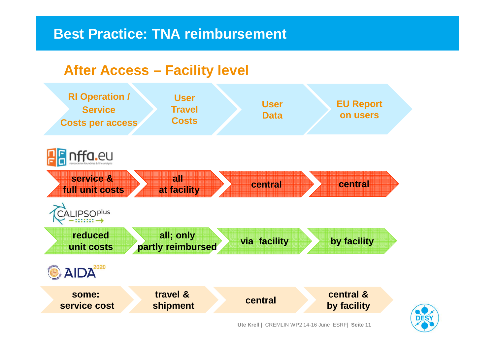#### **Best Practice: TNA reimbursement**

#### **After Access – Facility level**



![](_page_10_Picture_3.jpeg)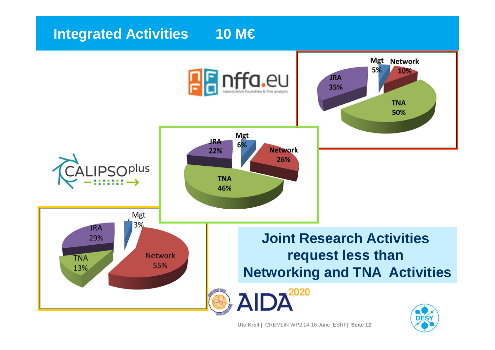# **Integrated Activities 10 M€**

![](_page_11_Figure_1.jpeg)

**Ute Krell** | CREMLIN WP2 14-16 June ESRF| **Seite <sup>12</sup>**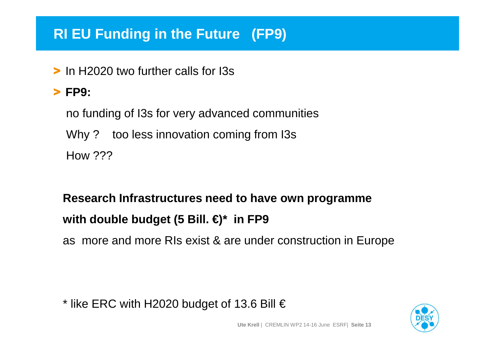# **RI EU Funding in the Future (FP9)**

> In H2020 two further calls for I3s

# > **FP9:**

no funding of I3s for very advanced communitiesWhy ? too less innovation coming from I3s How ???

# **Research Infrastructures need to have own programmewith double budget (5 Bill. €)\* in FP9**

as more and more RIs exist & are under construction in Europe

\* like ERC with H2020 budget of 13.6 Bill  $\in$ 

![](_page_12_Picture_7.jpeg)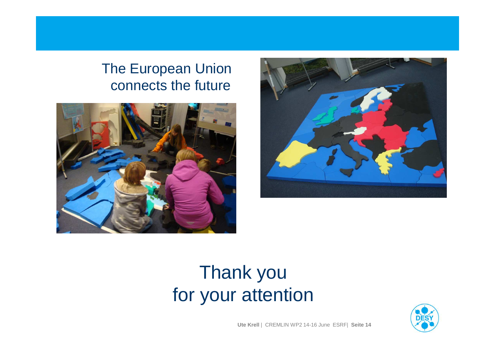# The European Union connects the future

![](_page_13_Picture_1.jpeg)

![](_page_13_Picture_2.jpeg)

# Thank youfor your attention

![](_page_13_Picture_4.jpeg)

**Ute Krell** | CREMLIN WP2 14-16 June ESRF| **Seite <sup>14</sup>**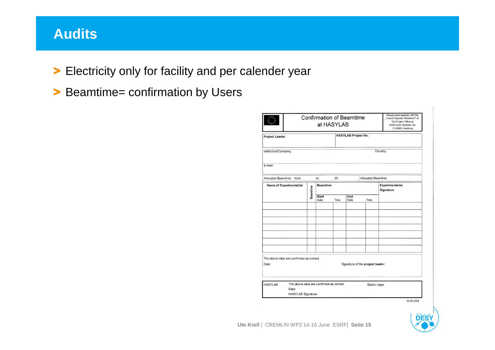### **Audits**

- > Electricity only for facility and per calender year
- > Beamtime= confirmation by Users

|                          |                                                                                |          | <b>Confirmation of Beamtime</b> | at HASYLAB |                             |                                  | Please send together with the<br>"Travel Expense Statement" to:<br>EU-Project Office at<br>HASYLAB, Notkestr. 85.<br>D-22603 Hamburg |
|--------------------------|--------------------------------------------------------------------------------|----------|---------------------------------|------------|-----------------------------|----------------------------------|--------------------------------------------------------------------------------------------------------------------------------------|
| Project Leader:          |                                                                                |          |                                 |            | <b>HASYLAB-Project No.:</b> |                                  |                                                                                                                                      |
| Institution/Company:     |                                                                                |          |                                 |            |                             |                                  | Country:                                                                                                                             |
| E-mail:                  |                                                                                |          |                                 |            |                             |                                  |                                                                                                                                      |
| Allocated Beamtime from: |                                                                                |          | to:                             | 20         |                             | Allocated Beamline:              |                                                                                                                                      |
|                          | <b>Name of Experimentalist</b>                                                 |          | <b>Beamtime</b>                 |            |                             |                                  | <b>Experimentalist</b><br>Signature                                                                                                  |
|                          |                                                                                | Beamline | <b>Start</b><br>Date            | Time       | End<br>Date                 | Time                             |                                                                                                                                      |
|                          |                                                                                |          |                                 |            |                             |                                  |                                                                                                                                      |
|                          |                                                                                |          |                                 |            |                             |                                  |                                                                                                                                      |
|                          |                                                                                |          |                                 |            |                             |                                  |                                                                                                                                      |
|                          |                                                                                |          |                                 |            |                             |                                  |                                                                                                                                      |
|                          |                                                                                |          |                                 |            |                             |                                  |                                                                                                                                      |
|                          |                                                                                |          |                                 |            |                             |                                  |                                                                                                                                      |
|                          |                                                                                |          |                                 |            |                             |                                  |                                                                                                                                      |
| Date:                    | The above data are confirmed as correct.                                       |          |                                 |            |                             | Signature of the project leader: |                                                                                                                                      |
|                          |                                                                                |          |                                 |            |                             |                                  |                                                                                                                                      |
| <b>HASYLAB</b>           | The above data are confirmed as correct.<br>Date:<br><b>HASYLAB Signature:</b> |          |                                 |            |                             | Station days                     |                                                                                                                                      |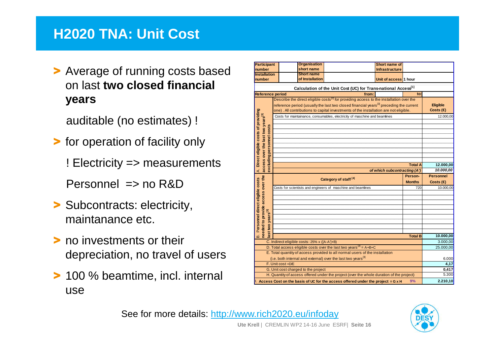### **H2020 TNA: Unit Cost**

> Average of running costs based on last **two closed financial years**

auditable (no estimates) !

- > for operation of facility only
	- ! Electricity => measurements
	- Personnel  $\Rightarrow$  no R&D
- > Subcontracts: electricity, maintanance etc.
- > no investments or their depreciation, no travel of users
- > 100 % beamtime, incl. internal use

|                                                                                                      | Participant        | <b>Organisation</b>                          |                                                                                                                                                                                            | Short name of                    |                |                                |
|------------------------------------------------------------------------------------------------------|--------------------|----------------------------------------------|--------------------------------------------------------------------------------------------------------------------------------------------------------------------------------------------|----------------------------------|----------------|--------------------------------|
| number                                                                                               |                    | short name                                   |                                                                                                                                                                                            | <b>Infrastructure</b>            |                |                                |
| <b>Installation</b>                                                                                  |                    | <b>Short name</b>                            |                                                                                                                                                                                            |                                  |                |                                |
| number                                                                                               |                    | of Installation                              |                                                                                                                                                                                            | Unit of access <sup>1</sup> hour |                |                                |
| Calculation of the Unit Cost (UC) for Trans-national Access[1]                                       |                    |                                              |                                                                                                                                                                                            |                                  |                |                                |
| <b>Reference period</b>                                                                              |                    |                                              | from:                                                                                                                                                                                      |                                  | to:            |                                |
|                                                                                                      |                    |                                              | Describe the direct eligible costs <sup>[2]</sup> for providing access to the installation over the                                                                                        |                                  |                |                                |
|                                                                                                      |                    |                                              |                                                                                                                                                                                            |                                  |                |                                |
|                                                                                                      |                    |                                              | reference period (usually the last two closed financial years <sup>[3]</sup> preceding the current<br>one). All contributions to capital investments of the installation are not eligible. |                                  |                | Eligible<br>Costs $(\epsilon)$ |
|                                                                                                      |                    |                                              |                                                                                                                                                                                            |                                  |                |                                |
|                                                                                                      |                    |                                              | Costs for maintainance, consumables, electricity of maschine and beamlines                                                                                                                 |                                  |                | 12.000,00                      |
|                                                                                                      |                    |                                              |                                                                                                                                                                                            |                                  |                |                                |
|                                                                                                      |                    |                                              |                                                                                                                                                                                            |                                  |                |                                |
|                                                                                                      |                    |                                              |                                                                                                                                                                                            |                                  |                |                                |
|                                                                                                      |                    |                                              |                                                                                                                                                                                            |                                  |                |                                |
| personnel costs                                                                                      |                    |                                              |                                                                                                                                                                                            |                                  |                |                                |
|                                                                                                      |                    |                                              |                                                                                                                                                                                            |                                  |                |                                |
|                                                                                                      |                    |                                              |                                                                                                                                                                                            |                                  |                |                                |
| Direct eligible costs of providing                                                                   |                    |                                              |                                                                                                                                                                                            |                                  | <b>Total A</b> | 12.000,00                      |
| access over the last two years[3]<br>excluding<br>∢                                                  |                    | of which subcontracting (A')                 | 10.000,00                                                                                                                                                                                  |                                  |                |                                |
|                                                                                                      |                    |                                              |                                                                                                                                                                                            |                                  |                |                                |
|                                                                                                      |                    |                                              |                                                                                                                                                                                            |                                  |                |                                |
|                                                                                                      |                    |                                              | Category of staff <sup>[4]</sup>                                                                                                                                                           |                                  | Person-        | <b>Personnel</b>               |
|                                                                                                      |                    |                                              |                                                                                                                                                                                            |                                  | <b>Months</b>  | Costs $(\epsilon)$             |
|                                                                                                      |                    |                                              | Costs for scientists and engineers of maschine and beamlines                                                                                                                               |                                  | 720            | 10.000.00                      |
|                                                                                                      |                    |                                              |                                                                                                                                                                                            |                                  |                |                                |
|                                                                                                      |                    |                                              |                                                                                                                                                                                            |                                  |                |                                |
|                                                                                                      |                    |                                              |                                                                                                                                                                                            |                                  |                |                                |
|                                                                                                      |                    |                                              |                                                                                                                                                                                            |                                  |                |                                |
|                                                                                                      |                    |                                              |                                                                                                                                                                                            |                                  |                |                                |
|                                                                                                      |                    |                                              |                                                                                                                                                                                            |                                  |                |                                |
|                                                                                                      |                    |                                              |                                                                                                                                                                                            |                                  |                |                                |
| needed to provide access over the<br>Personnel direct eligible costs<br>ast two years <sup>[3]</sup> |                    |                                              |                                                                                                                                                                                            |                                  | <b>Total B</b> | 10.000,00                      |
| ø                                                                                                    |                    | C. Indirect eligible costs: 25% x ([A-A']+B) |                                                                                                                                                                                            |                                  |                | 3.000,00                       |
|                                                                                                      |                    |                                              | D. Total access eligible costs over the last two years <sup>[3]</sup> = A+B+C                                                                                                              |                                  |                | 25.000,00                      |
|                                                                                                      |                    |                                              | E. Total quantity of access provided to all normal users of the installation                                                                                                               |                                  |                |                                |
|                                                                                                      |                    |                                              | (i.e. both internal and external) over the last two years <sup>[3]</sup>                                                                                                                   |                                  |                | 6.000                          |
|                                                                                                      | F. Unit cost = D/E |                                              |                                                                                                                                                                                            |                                  |                | 4,17                           |
|                                                                                                      |                    | G. Unit cost charged to the project          |                                                                                                                                                                                            |                                  |                | 0,417                          |
|                                                                                                      |                    |                                              | H. Quantity of access offered under the project (over the whole duration of the project)                                                                                                   |                                  |                | 5.300                          |

See for more details: http://www.rich2020.eu/infoday

![](_page_15_Picture_11.jpeg)